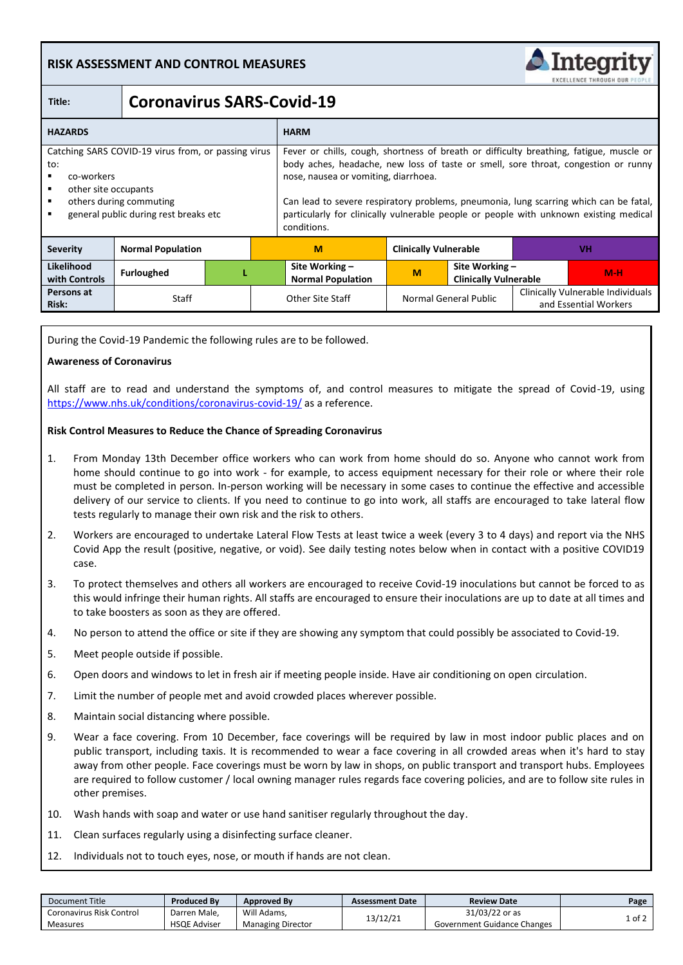# **RISK ASSESSMENT AND CONTROL MEASURES**



and Essential Workers

# **Title: Coronavirus SARS-Covid-19**

| <b>HAZARDS</b>                                                                                                                                                            |                          |  |  | <b>HARM</b>                                                                                                                                                                                                                                                                                                                                                                                                            |                              |                                                |           |                                   |
|---------------------------------------------------------------------------------------------------------------------------------------------------------------------------|--------------------------|--|--|------------------------------------------------------------------------------------------------------------------------------------------------------------------------------------------------------------------------------------------------------------------------------------------------------------------------------------------------------------------------------------------------------------------------|------------------------------|------------------------------------------------|-----------|-----------------------------------|
| Catching SARS COVID-19 virus from, or passing virus<br>to:<br>co-workers<br>other site occupants<br>others during commuting<br>٠<br>general public during rest breaks etc |                          |  |  | Fever or chills, cough, shortness of breath or difficulty breathing, fatigue, muscle or<br>body aches, headache, new loss of taste or smell, sore throat, congestion or runny<br>nose, nausea or vomiting, diarrhoea.<br>Can lead to severe respiratory problems, pneumonia, lung scarring which can be fatal,<br>particularly for clinically vulnerable people or people with unknown existing medical<br>conditions. |                              |                                                |           |                                   |
| <b>Severity</b>                                                                                                                                                           | <b>Normal Population</b> |  |  | M                                                                                                                                                                                                                                                                                                                                                                                                                      | <b>Clinically Vulnerable</b> |                                                | <b>VH</b> |                                   |
| Likelihood<br>with Controls                                                                                                                                               | <b>Furloughed</b>        |  |  | Site Working -<br><b>Normal Population</b>                                                                                                                                                                                                                                                                                                                                                                             | M                            | Site Working -<br><b>Clinically Vulnerable</b> |           | $M-H$                             |
| Persons at                                                                                                                                                                | $\sim$ $\sim$            |  |  | $2.1$ $2.1$ $2.1$ $2.1$ $2.1$ $2.1$ $2.1$ $2.1$ $2.1$ $2.1$ $2.1$ $2.1$ $2.1$ $2.1$ $2.1$ $2.1$ $2.1$ $2.1$ $2.1$ $2.1$ $2.1$ $2.1$ $2.1$ $2.1$ $2.1$ $2.1$ $2.1$ $2.1$ $2.1$ $2.1$ $2.1$ $2.1$ $2.1$ $2.1$ $2.1$ $2.1$ $2.1$                                                                                                                                                                                          | $\sim$                       | $\sim$ $\sim$ $\sim$ $\sim$ $\sim$ $\sim$      |           | Clinically Vulnerable Individuals |

**Persons at** Staff Staff Other Site Staff Normal General Public Clinically Vulnerable Individuals<br>**Risk:** and Essential Workers

During the Covid-19 Pandemic the following rules are to be followed.

#### **Awareness of Coronavirus**

All staff are to read and understand the symptoms of, and control measures to mitigate the spread of Covid-19, using <https://www.nhs.uk/conditions/coronavirus-covid-19/> as a reference.

# **Risk Control Measures to Reduce the Chance of Spreading Coronavirus**

- 1. From Monday 13th December office workers who can work from home should do so. Anyone who cannot work from home should continue to go into work - for example, to access equipment necessary for their role or where their role must be completed in person. In-person working will be necessary in some cases to continue the effective and accessible delivery of our service to clients. If you need to continue to go into work, all staffs are encouraged to take lateral flow tests regularly to manage their own risk and the risk to others.
- 2. Workers are encouraged to undertake Lateral Flow Tests at least twice a week (every 3 to 4 days) and report via the NHS Covid App the result (positive, negative, or void). See daily testing notes below when in contact with a positive COVID19 case.
- 3. To protect themselves and others all workers are encouraged to receive Covid-19 inoculations but cannot be forced to as this would infringe their human rights. All staffs are encouraged to ensure their inoculations are up to date at all times and to take boosters as soon as they are offered.
- 4. No person to attend the office or site if they are showing any symptom that could possibly be associated to Covid-19.
- 5. Meet people outside if possible.
- 6. Open doors and windows to let in fresh air if meeting people inside. Have air conditioning on open circulation.
- 7. Limit the number of people met and avoid crowded places wherever possible.
- 8. Maintain social distancing where possible.
- 9. Wear a face covering. From 10 December, face coverings will be required by law in most indoor public places and on public transport, including taxis. It is recommended to wear a face covering in all crowded areas when it's hard to stay away from other people. Face coverings must be worn by law in shops, on public transport and transport hubs. Employees are required to follow customer / local owning manager rules regards face covering policies, and are to follow site rules in other premises.
- 10. Wash hands with soap and water or use hand sanitiser regularly throughout the day.
- 11. Clean surfaces regularly using a disinfecting surface cleaner.
- 12. Individuals not to touch eyes, nose, or mouth if hands are not clean.

| Document Title           | <b>Produced By</b>  | <b>Approved By</b>       | <b>Assessment Date</b> | <b>Review Date</b>          | Page   |
|--------------------------|---------------------|--------------------------|------------------------|-----------------------------|--------|
| Coronavirus Risk Control | Darren Male.        | Will Adams.              | 13/12/21               | 31/03/22 or as              | . of 2 |
| Measures                 | <b>HSQE Adviser</b> | <b>Managing Director</b> |                        | Government Guidance Changes |        |